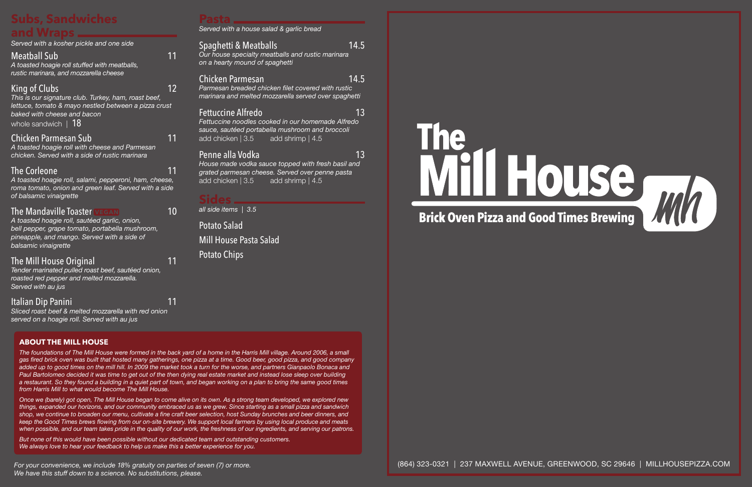(864) 323-0321 | 237 MAXWELL AVENUE, GREENWOOD, SC 29646 | MILLHOUSEPIZZA.COM

# **Pasta**

*Served with a house salad & garlic bread*

# Spaghetti & Meatballs 14.5

*Our house specialty meatballs and rustic marinara on a hearty mound of spaghetti*

#### Chicken Parmesan 14.5

*Parmesan breaded chicken filet covered with rustic marinara and melted mozzarella served over spaghetti*

## **Fettuccine Alfredo** 13

*Fettuccine noodles cooked in our homemade Alfredo sauce, sautéed portabella mushroom and broccoli* add chicken | 3.5 add shrimp | 4.5

## Penne alla Vodka 13

*House made vodka sauce topped with fresh basil and grated parmesan cheese. Served over penne pasta* add chicken | 3.5 add shrimp | 4.5

# **Sides**

*all side items | 3.5*

Potato Salad Mill House Pasta Salad Potato Chips

# **Brick Oven Pizza and Good Times Brewing**



# **Subs, Sandwiches and Wraps**

| anu vvraps                                                                                                                                                                                                     |    |
|----------------------------------------------------------------------------------------------------------------------------------------------------------------------------------------------------------------|----|
| Served with a kosher pickle and one side                                                                                                                                                                       |    |
| <b>Meatball Sub</b><br>A toasted hoagie roll stuffed with meatballs,<br>rustic marinara, and mozzarella cheese                                                                                                 | 11 |
| King of Clubs<br>This is our signature club. Turkey, ham, roast beef,<br>lettuce, tomato & mayo nestled between a pizza crust<br>baked with cheese and bacon<br>whole sandwich   18                            | 12 |
| Chicken Parmesan Sub<br>A toasted hoagie roll with cheese and Parmesan<br>chicken. Served with a side of rustic marinara                                                                                       | 11 |
| <b>The Corleone</b><br>A toasted hoagie roll, salami, pepperoni, ham, cheese,<br>roma tomato, onion and green leaf. Served with a side<br>of balsamic vinaigrette                                              | 11 |
| <b>The Mandaville Toaster VEGAN</b><br>A toasted hoagie roll, sautéed garlic, onion,<br>bell pepper, grape tomato, portabella mushroom,<br>pineapple, and mango. Served with a side of<br>balsamic vinaigrette | 10 |
| The Mill House Original<br>Tender marinated pulled roast beef, sautéed onion,<br>roasted red pepper and melted mozzarella.<br>Served with au jus                                                               | 11 |
| Italian Dip Panini                                                                                                                                                                                             |    |

*Sliced roast beef & melted mozzarella with red onion served on a hoagie roll. Served with au jus*

#### **ABOUT THE MILL HOUSE**

*The foundations of The Mill House were formed in the back yard of a home in the Harris Mill village. Around 2006, a small gas fired brick oven was built that hosted many gatherings, one pizza at a time. Good beer, good pizza, and good company added up to good times on the mill hill. In 2009 the market took a turn for the worse, and partners Gianpaolo Bonaca and Paul Bartolomeo decided it was time to get out of the then dying real estate market and instead lose sleep over building a restaurant. So they found a building in a quiet part of town, and began working on a plan to bring the same good times from Harris Mill to what would become The Mill House.*

*Once we (barely) got open, The Mill House began to come alive on its own. As a strong team developed, we explored new things, expanded our horizons, and our community embraced us as we grew. Since starting as a small pizza and sandwich shop, we continue to broaden our menu, cultivate a fine craft beer selection, host Sunday brunches and beer dinners, and keep the Good Times brews flowing from our on-site brewery. We support local farmers by using local produce and meats when possible, and our team takes pride in the quality of our work, the freshness of our ingredients, and serving our patrons.*

*But none of this would have been possible without our dedicated team and outstanding customers. We always love to hear your feedback to help us make this a better experience for you.*